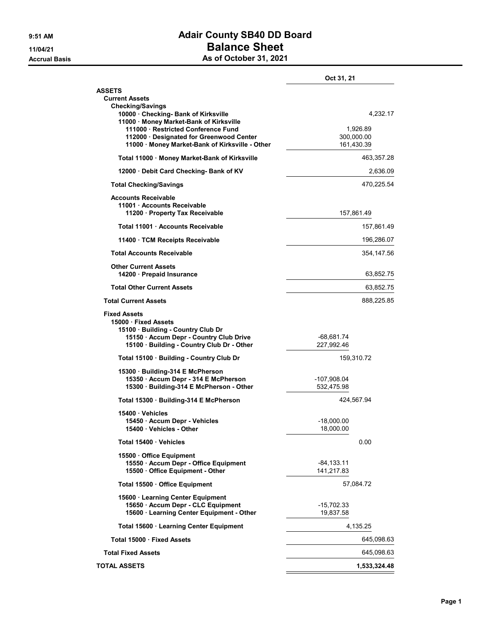## 9:51 AM **Adair County SB40 DD Board** 11/04/21 Balance Sheet Accrual Basis Accrual Basis As of October 31, 2021

|                                                                                                                              | Oct 31, 21                |
|------------------------------------------------------------------------------------------------------------------------------|---------------------------|
| <b>ASSETS</b><br><b>Current Assets</b><br><b>Checking/Savings</b>                                                            |                           |
| 10000 · Checking- Bank of Kirksville<br>11000 · Money Market-Bank of Kirksville<br>111000 · Restricted Conference Fund       | 4,232.17<br>1,926.89      |
| 112000 · Designated for Greenwood Center<br>11000 · Money Market-Bank of Kirksville - Other                                  | 300,000.00<br>161,430.39  |
| Total 11000 · Money Market-Bank of Kirksville                                                                                | 463,357.28                |
| 12000 Debit Card Checking- Bank of KV                                                                                        | 2,636.09                  |
| <b>Total Checking/Savings</b>                                                                                                | 470,225.54                |
| Accounts Receivable<br>11001 · Accounts Receivable<br>11200 · Property Tax Receivable                                        | 157,861.49                |
| Total 11001 Accounts Receivable                                                                                              | 157,861.49                |
| 11400 · TCM Receipts Receivable                                                                                              | 196,286.07                |
| <b>Total Accounts Receivable</b>                                                                                             | 354,147.56                |
| <b>Other Current Assets</b><br>14200 · Prepaid Insurance                                                                     | 63,852.75                 |
| <b>Total Other Current Assets</b>                                                                                            | 63,852.75                 |
| <b>Total Current Assets</b>                                                                                                  | 888,225.85                |
| <b>Fixed Assets</b><br>15000 · Fixed Assets<br>15100 · Building - Country Club Dr<br>15150 · Accum Depr - Country Club Drive | -68,681.74                |
| 15100 · Building - Country Club Dr - Other                                                                                   | 227,992.46                |
| Total 15100 · Building - Country Club Dr                                                                                     | 159,310.72                |
| 15300 · Building-314 E McPherson<br>15350 · Accum Depr - 314 E McPherson<br>15300 · Building-314 E McPherson - Other         | -107,908.04<br>532,475.98 |
| Total 15300 · Building-314 E McPherson                                                                                       | 424,567.94                |
| 15400 Vehicles                                                                                                               |                           |
| 15450 · Accum Depr - Vehicles<br>15400 · Vehicles - Other                                                                    | $-18,000.00$<br>18,000.00 |
| Total 15400 Vehicles                                                                                                         | 0.00                      |
| 15500 Office Equipment                                                                                                       |                           |
| 15550 · Accum Depr - Office Equipment<br>15500 Office Equipment - Other                                                      | -84, 133.11<br>141,217.83 |
| Total 15500 Office Equipment                                                                                                 | 57,084.72                 |
| 15600 · Learning Center Equipment<br>15650 · Accum Depr - CLC Equipment<br>15600 · Learning Center Equipment - Other         | $-15,702.33$<br>19.837.58 |
| Total 15600 · Learning Center Equipment                                                                                      | 4,135.25                  |
| Total 15000 · Fixed Assets                                                                                                   | 645,098.63                |
| <b>Total Fixed Assets</b>                                                                                                    | 645,098.63                |
| <b>TOTAL ASSETS</b>                                                                                                          | 1,533,324.48              |